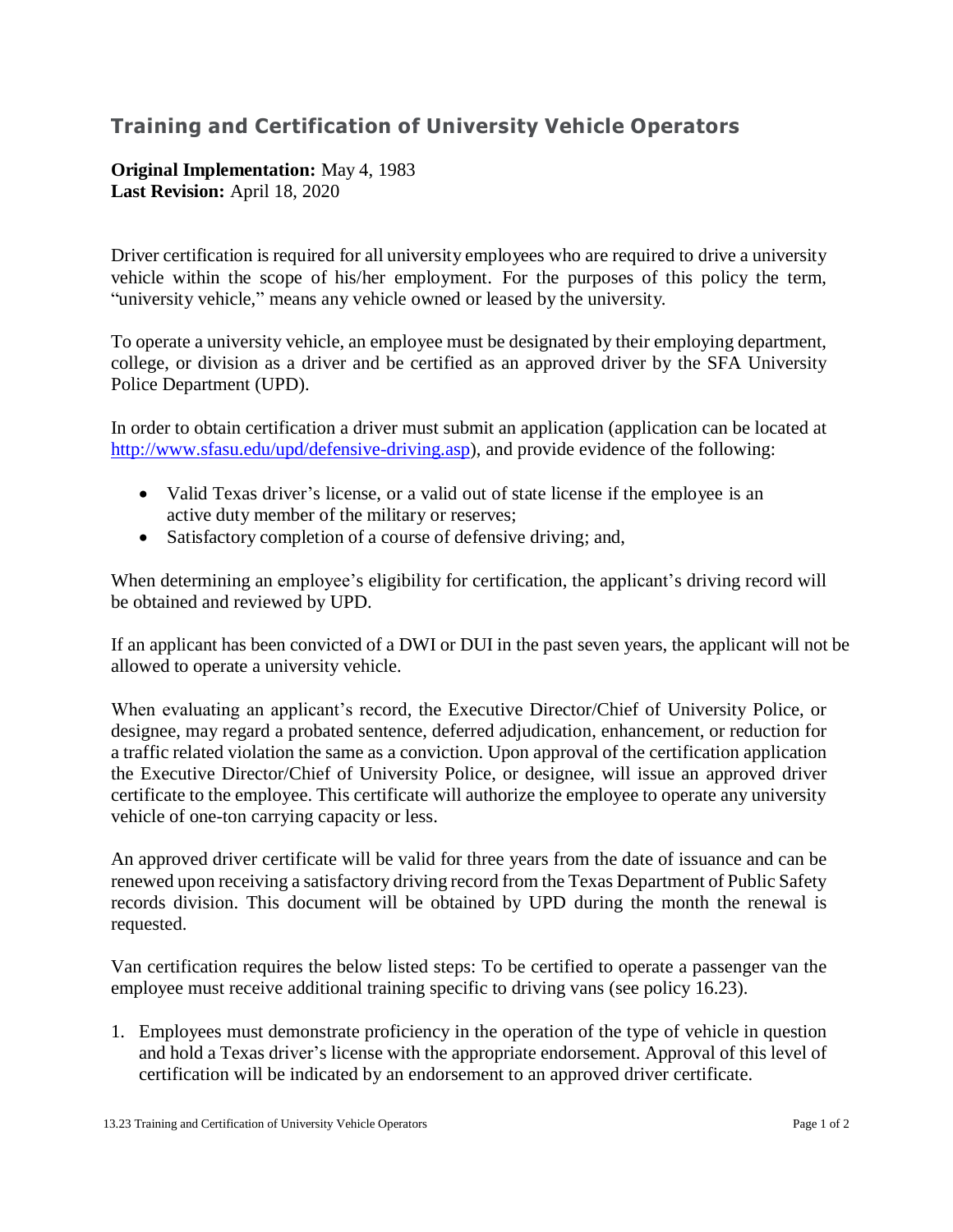# **Training and Certification of University Vehicle Operators**

## **Original Implementation:** May 4, 1983 **Last Revision:** April 18, 2020

Driver certification is required for all university employees who are required to drive a university vehicle within the scope of his/her employment. For the purposes of this policy the term, "university vehicle," means any vehicle owned or leased by the university.

To operate a university vehicle, an employee must be designated by their employing department, college, or division as a driver and be certified as an approved driver by the SFA University Police Department (UPD).

In order to obtain certification a driver must submit an application (application can be located at [http://www.sfasu.edu/upd/defensive-driving.asp\)](http://www.sfasu.edu/upd/defensive-driving.asp), and provide evidence of the following:

- Valid Texas driver's license, or a valid out of state license if the employee is an active duty member of the military or reserves;
- Satisfactory completion of a course of defensive driving; and,

When determining an employee's eligibility for certification, the applicant's driving record will be obtained and reviewed by UPD.

If an applicant has been convicted of a DWI or DUI in the past seven years, the applicant will not be allowed to operate a university vehicle.

When evaluating an applicant's record, the Executive Director/Chief of University Police, or designee, may regard a probated sentence, deferred adjudication, enhancement, or reduction for a traffic related violation the same as a conviction. Upon approval of the certification application the Executive Director/Chief of University Police, or designee, will issue an approved driver certificate to the employee. This certificate will authorize the employee to operate any university vehicle of one-ton carrying capacity or less.

An approved driver certificate will be valid for three years from the date of issuance and can be renewed upon receiving a satisfactory driving record from the Texas Department of Public Safety records division. This document will be obtained by UPD during the month the renewal is requested.

Van certification requires the below listed steps: To be certified to operate a passenger van the employee must receive additional training specific to driving vans (see policy 16.23).

1. Employees must demonstrate proficiency in the operation of the type of vehicle in question and hold a Texas driver's license with the appropriate endorsement. Approval of this level of certification will be indicated by an endorsement to an approved driver certificate.